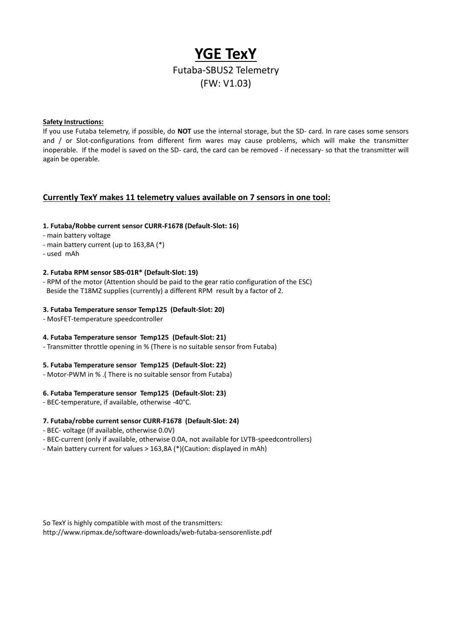# **YGE TexY** Futaba-SBUS2 Telemetry (FW: V1.03)

## **Safety Instructions:**

If you use Futaba telemetry, if possible, do **NOT** use the internal storage, but the SD- card. In rare cases some sensors and / or Slot-configurations from different firm wares may cause problems, which will make the transmitter inoperable. If the model is saved on the SD- card, the card can be removed - if necessary- so that the transmitter will again be operable.

## **Currently TexY makes 11 telemetry values available on 7 sensors in one tool:**

## **1. Futaba/Robbe current sensor CURR-F1678 (Default-Slot: 16)**

- main battery voltage
- main battery current (up to 163,8A (\*)
- used mAh

## **2. Futaba RPM sensor SBS-01R\* (Default-Slot: 19)**

- RPM of the motor (Attention should be paid to the gear ratio configuration of the ESC) Beside the T18MZ supplies (currently) a different RPM result by a factor of 2.

## **3. Futaba Temperature sensor Temp125 (Default-Slot: 20)**

- MosFET-temperature speedcontroller

#### **4. Futaba Temperature sensor Temp125 (Default-Slot: 21)**

- Transmitter throttle opening in % (There is no suitable sensor from Futaba)

#### **5. Futaba Temperature sensor Temp125 (Default-Slot: 22)**

- Motor-PWM in % .( There is no suitable sensor from Futaba)

## **6. Futaba Temperature sensor Temp125 (Default-Slot: 23)**

- BEC-temperature, if available, otherwise -40°C.

## **7. Futaba/robbe current sensor CURR-F1678 (Default-Slot: 24)**

- BEC- voltage (If available, otherwise 0.0V)
- BEC-current (only if available, otherwise 0.0A, not available for LVTB-speedcontrollers)
- Main battery current for values > 163,8A (\*)(Caution: displayed in mAh)

So TexY is highly compatible with most of the transmitters: <http://www.ripmax.de/software-downloads/web-futaba-sensorenliste.pdf>